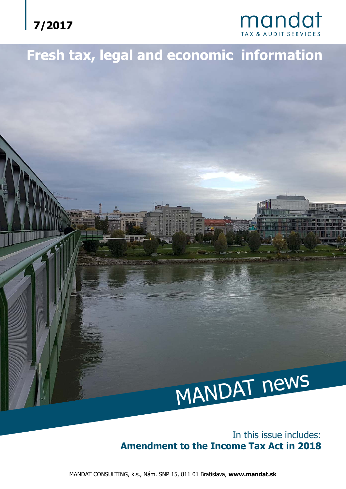



# **Fresh tax, legal and economic information**



### In this issue includes: **Amendment to the Income Tax Act in 2018**

MANDAT CONSULTING, k.s., Nám. SNP 15, 811 01 Bratislava, **www.mandat.sk**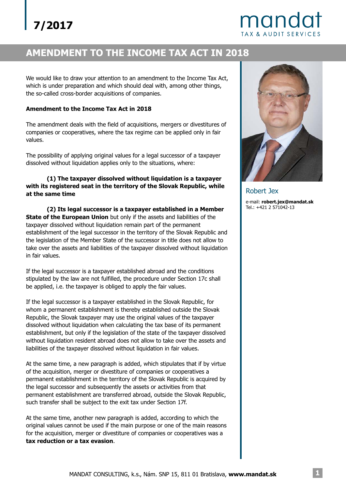## mandat **TAX & AUDIT SERVICES**

## **AMENDMENT TO THE INCOME TAX ACT IN 2018**

We would like to draw your attention to an amendment to the Income Tax Act, which is under preparation and which should deal with, among other things, the so-called cross-border acquisitions of companies.

#### **Amendment to the Income Tax Act in 2018**

The amendment deals with the field of acquisitions, mergers or divestitures of companies or cooperatives, where the tax regime can be applied only in fair values.

The possibility of applying original values for a legal successor of a taxpayer dissolved without liquidation applies only to the situations, where:

### **(1) The taxpayer dissolved without liquidation is a taxpayer with its registered seat in the territory of the Slovak Republic, while at the same time**

**State of the European Union** but only if the assets and liabilities of the taxpayer dissolved without liquidation remain part of the permanent establishment of the legal successor in the territory of the Slovak Republic and the legislation of the Member State of the successor in title does not allow to take over the assets and liabilities of the taxpayer dissolved without liquidation in fair values. **(2) Its legal successor is a taxpayer established in a Member**

If the legal successor is a taxpayer established abroad and the conditions stipulated by the law are not fulfilled, the procedure under Section 17c shall be applied, i.e. the taxpayer is obliged to apply the fair values.

If the legal successor is a taxpayer established in the Slovak Republic, for whom a permanent establishment is thereby established outside the Slovak Republic, the Slovak taxpayer may use the original values of the taxpayer dissolved without liquidation when calculating the tax base of its permanent establishment, but only if the legislation of the state of the taxpayer dissolved without liquidation resident abroad does not allow to take over the assets and liabilities of the taxpayer dissolved without liquidation in fair values.

At the same time, a new paragraph is added, which stipulates that if by virtue of the acquisition, merger or divestiture of companies or cooperatives a permanent establishment in the territory of the Slovak Republic is acquired by the legal successor and subsequently the assets or activities from that permanent establishment are transferred abroad, outside the Slovak Republic, such transfer shall be subject to the exit tax under Section 17f.

At the same time, another new paragraph is added, according to which the original values cannot be used if the main purpose or one of the main reasons for the acquisition, merger or divestiture of companies or cooperatives was a . **tax reduction or a tax evasion**



Robert Jex e-mail: **robert.jex@mandat.sk** Tel.: +421 2 571042-13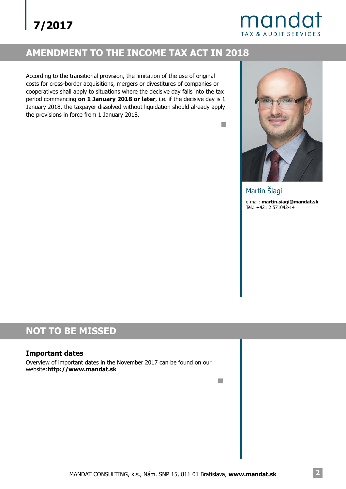## mandat **TAX & AUDIT SERVICES**

## **AMENDMENT TO THE INCOME TAX ACT IN 2018**

According to the transitional provision, the limitation of the use of original costs for cross-border acquisitions, mergers or divestitures of companies or cooperatives shall apply to situations where the decisive day falls into the tax period commencing **on 1 January 2018 or later**, i.e. if the decisive day is 1 January 2018, the taxpayer dissolved without liquidation should already apply the provisions in force from 1 January 2018.



 $\Box$ 

 $\mathbb{R}^n$ 

e-mail: **martin.siagi@mandat.sk** Tel.: +421 2 571042-14 Martin Šiagi

## **NOT TO BE MISSED**

### **Important dates**

Overview of important dates in the November 2017 can be found on our website:**http://www.mandat.sk**